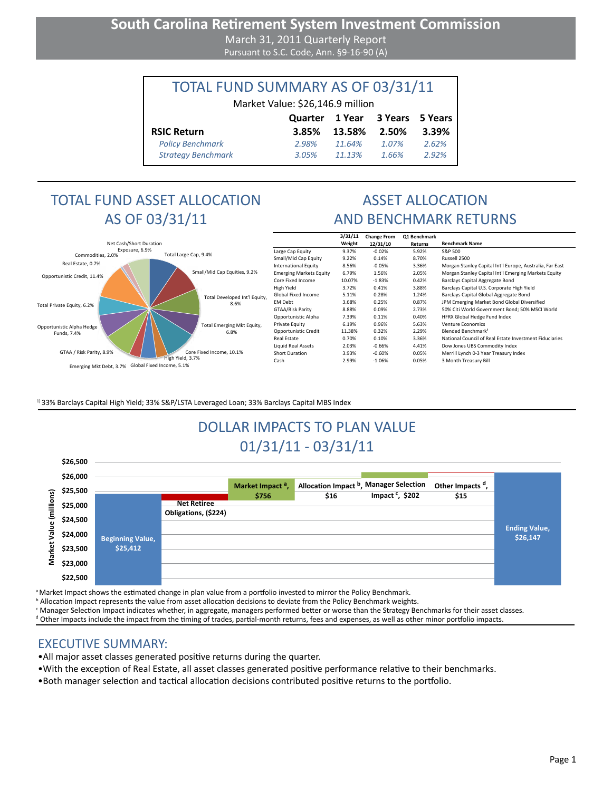### **South Carolina Retirement System Investment Commission** March 31, 2011 Quarterly Report Pursuant to S.C. Code, Ann. §9-16-90 (A)

| TOTAL FUND SUMMARY AS OF 03/31/11 |         |        |                |         |  |  |  |
|-----------------------------------|---------|--------|----------------|---------|--|--|--|
| Market Value: \$26,146.9 million  |         |        |                |         |  |  |  |
|                                   | Quarter |        | 1 Year 3 Years | 5 Years |  |  |  |
| <b>RSIC Return</b>                | 3.85%   | 13.58% | 2.50%          | 3.39%   |  |  |  |
| <b>Policy Benchmark</b>           | 2.98%   | 11.64% | 1.07%          | 2.62%   |  |  |  |
| <b>Strategy Benchmark</b>         | 3.05%   | 11.13% | 1.66%          | 2.92%   |  |  |  |

# TOTAL FUND ASSET ALLOCATION AS OF 03/31/11



┑

|                                     |                               |                                | 3/31/11 | <b>Change From</b> | <b>Q1 Benchmark</b> |                                                          |
|-------------------------------------|-------------------------------|--------------------------------|---------|--------------------|---------------------|----------------------------------------------------------|
| Net Cash/Short Duration             |                               |                                | Weight  | 12/31/10           | Returns             | <b>Benchmark Name</b>                                    |
| Exposure, 6.9%<br>Commodities, 2.0% | Total Large Cap, 9.4%         | Large Cap Equity               | 9.37%   | $-0.02%$           | 5.92%               | S&P 500                                                  |
|                                     |                               | Small/Mid Cap Equity           | 9.22%   | 0.14%              | 8.70%               | Russell 2500                                             |
| Real Estate, 0.7%                   |                               | International Equity           | 8.56%   | $-0.05%$           | 3.36%               | Morgan Stanley Capital Int'l Europe, Australia, Far East |
| Opportunistic Credit, 11.4%         | Small/Mid Cap Equities, 9.2%  | <b>Emerging Markets Equity</b> | 6.79%   | 1.56%              | 2.05%               | Morgan Stanley Capital Int'l Emerging Markets Equity     |
|                                     |                               | Core Fixed Income              | 10.07%  | $-1.83%$           | 0.42%               | Barclays Capital Aggregate Bond                          |
|                                     |                               | High Yield                     | 3.72%   | 0.41%              | 3.88%               | Barclays Capital U.S. Corporate High Yield               |
|                                     | Total Developed Int'l Equity, | Global Fixed Income            | 5.11%   | 0.28%              | 1.24%               | Barclays Capital Global Aggregate Bond                   |
| Total Private Equity, 6.2%          | 8.6%                          | EM Debt                        | 3.68%   | 0.25%              | 0.87%               | JPM Emerging Market Bond Global Diversified              |
|                                     |                               | GTAA/Risk Parity               | 8.88%   | 0.09%              | 2.73%               | 50% Citi World Government Bond; 50% MSCI World           |
|                                     |                               | Opportunistic Alpha            | 7.39%   | 0.11%              | 0.40%               | HFRX Global Hedge Fund Index                             |
| Opportunistic Alpha Hedge           | Total Emerging Mkt Equity,    | Private Equity                 | 6.19%   | 0.96%              | 5.63%               | <b>Venture Economics</b>                                 |
| Funds, 7.4%                         | 6.8%                          | Opportunistic Credit           | 11.38%  | 0.32%              | 2.29%               | Blended Benchmark <sup>1</sup>                           |
|                                     |                               | Real Estate                    | 0.70%   | 0.10%              | 3.36%               | National Council of Real Estate Investment Fiduciaries   |
|                                     |                               | Liquid Real Assets             | 2.03%   | $-0.66%$           | 4.41%               | Dow Jones UBS Commodity Index                            |
| GTAA / Risk Parity, 8.9%            | Core Fixed Income, 10.1%      | Short Duration                 | 3.93%   | $-0.60%$           | 0.05%               | Merrill Lynch 0-3 Year Treasury Index                    |
|                                     | High Yield, 3.7%              | Cash                           | 2.99%   | $-1.06%$           | 0.05%               | 3 Month Treasury Bill                                    |
| Emerging Mkt Debt, 3.7%             | Global Fixed Income, 5.1%     |                                |         |                    |                     |                                                          |

<sup>1)</sup> 33% Barclays Capital High Yield; 33% S&P/LSTA Leveraged Loan; 33% Barclays Capital MBS Index

# DOLLAR IMPACTS TO PLAN VALUE 01/31/11 - 03/31/11

|        | SZD,SUU  |                         |                      |                              |                                  |                             |                              |                      |
|--------|----------|-------------------------|----------------------|------------------------------|----------------------------------|-----------------------------|------------------------------|----------------------|
|        | \$26,000 |                         |                      |                              |                                  |                             |                              |                      |
| ౚ<br>≝ | \$25,500 |                         |                      | Market Impact <sup>a</sup> , | Allocation Impact <sup>b</sup> , | <b>Manager Selection</b>    | Other Impacts <sup>d</sup> , |                      |
|        | \$25,000 |                         | <b>Net Retiree</b>   | \$756                        | \$16                             | Impact <sup>c</sup> , \$202 | \$15                         |                      |
| ٤      |          |                         | Obligations, (\$224) |                              |                                  |                             |                              |                      |
| Φ      | \$24,500 |                         |                      |                              |                                  |                             |                              | <b>Ending Value,</b> |
| ē      | \$24,000 | <b>Beginning Value,</b> |                      |                              |                                  |                             |                              | \$26,147             |
| ē      | \$23,500 | \$25,412                |                      |                              |                                  |                             |                              |                      |
| ទឹ     | \$23,000 |                         |                      |                              |                                  |                             |                              |                      |
|        | \$22,500 |                         |                      |                              |                                  |                             |                              |                      |

<sup>a</sup> Market Impact shows the estimated change in plan value from a portfolio invested to mirror the Policy Benchmark.

**b** Allocation Impact represents the value from asset allocation decisions to deviate from the Policy Benchmark weights.

c Manager Selection Impact indicates whether, in aggregate, managers performed better or worse than the Strategy Benchmarks for their asset classes.

d Other Impacts include the impact from the timing of trades, partial-month returns, fees and expenses, as well as other minor portfolio impacts.

#### EXECUTIVE SUMMARY:

**\$26,500**

•All major asset classes generated positive returns during the quarter.

•With the exception of Real Estate, all asset classes generated positive performance relative to their benchmarks.

•Both manager selection and tactical allocation decisions contributed positive returns to the portfolio.